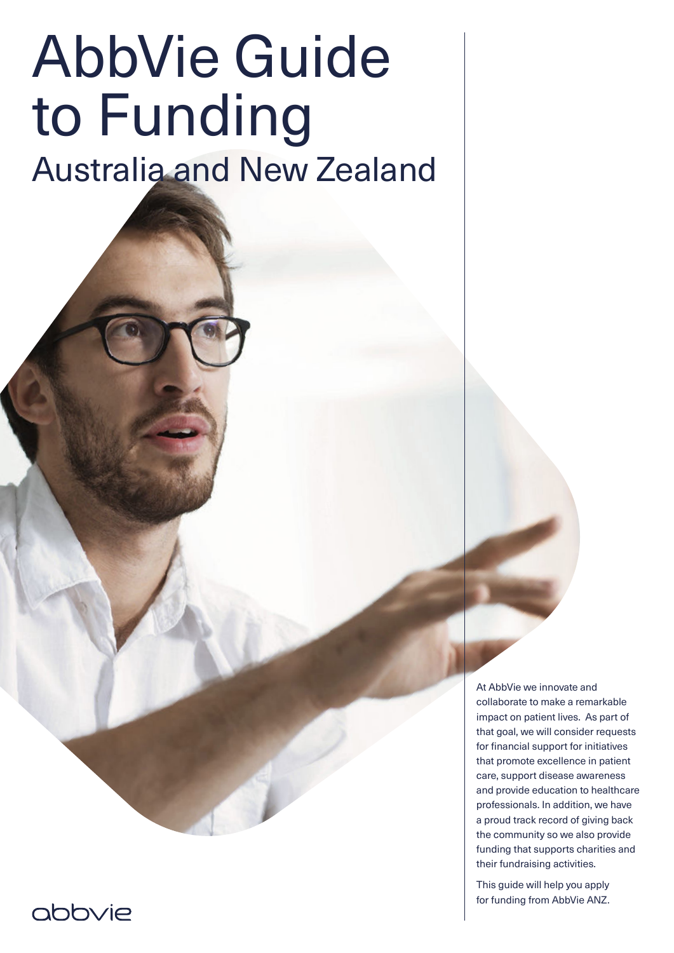# AbbVie Guide to Funding

Australia and New Zealand

At AbbVie we innovate and collaborate to make a remarkable impact on patient lives. As part of that goal, we will consider requests for financial support for initiatives that promote excellence in patient care, support disease awareness and provide education to healthcare professionals. In addition, we have a proud track record of giving back the community so we also provide funding that supports charities and their fundraising activities.

This guide will help you apply for funding from AbbVie ANZ.

# abbvie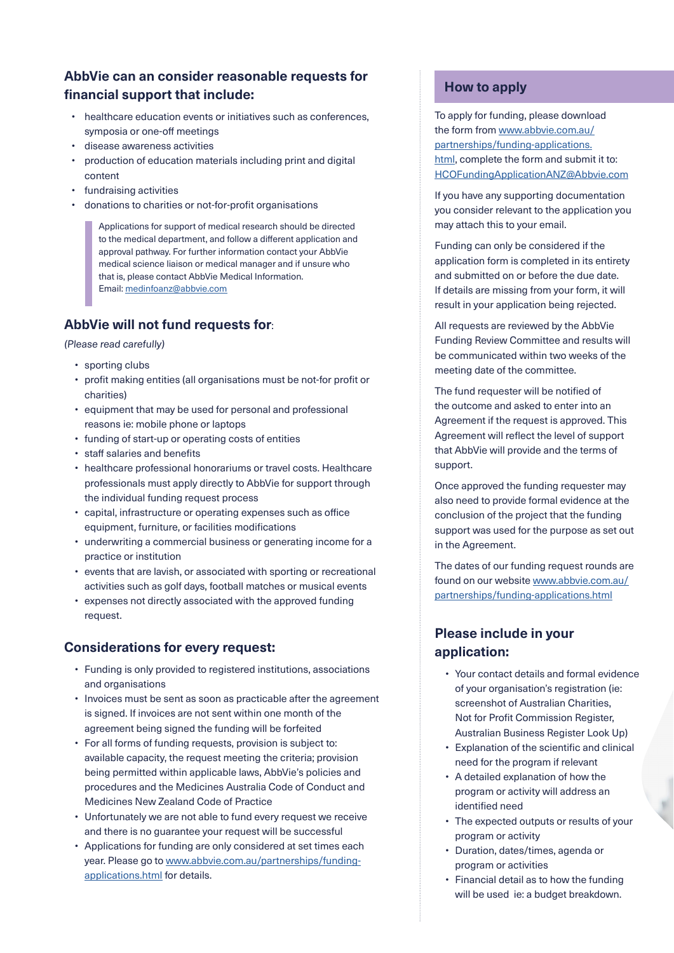# **AbbVie can an consider reasonable requests for financial support that include:**

- healthcare education events or initiatives such as conferences, symposia or one-off meetings
- disease awareness activities
- production of education materials including print and digital content
- fundraising activities
- donations to charities or not-for-profit organisations

Applications for support of medical research should be directed to the medical department, and follow a different application and approval pathway. For further information contact your AbbVie medical science liaison or medical manager and if unsure who that is, please contact AbbVie Medical Information. Email: [medinfoanz@abbvie.com](mailto:medinfoanz%40abbvie.com?subject=)

# **AbbVie will not fund requests for**:

(Please read carefully)

- sporting clubs
- profit making entities (all organisations must be not-for profit or charities)
- equipment that may be used for personal and professional reasons ie: mobile phone or laptops
- funding of start-up or operating costs of entities
- staff salaries and benefits
- healthcare professional honorariums or travel costs. Healthcare professionals must apply directly to AbbVie for support through the individual funding request process
- capital, infrastructure or operating expenses such as office equipment, furniture, or facilities modifications
- underwriting a commercial business or generating income for a practice or institution
- events that are lavish, or associated with sporting or recreational activities such as golf days, football matches or musical events
- expenses not directly associated with the approved funding request.

#### **Considerations for every request:**

- Funding is only provided to registered institutions, associations and organisations
- Invoices must be sent as soon as practicable after the agreement is signed. If invoices are not sent within one month of the agreement being signed the funding will be forfeited
- For all forms of funding requests, provision is subject to: available capacity, the request meeting the criteria; provision being permitted within applicable laws, AbbVie's policies and procedures and the Medicines Australia Code of Conduct and Medicines New Zealand Code of Practice
- Unfortunately we are not able to fund every request we receive and there is no guarantee your request will be successful
- Applications for funding are only considered at set times each year. Please go to [www.abbvie.com.au/partnerships/funding](https://www.abbvie.com.au/partnerships/funding-applications.html?trackingSelection=Yes)[applications.html](https://www.abbvie.com.au/partnerships/funding-applications.html?trackingSelection=Yes) for details.

#### **How to apply**

To apply for funding, please download the form from [www.abbvie.com.au/](https://www.abbvie.com.au/partnerships/funding-applications.html?trackingSelection=Yes) [partnerships/funding-applications.](https://www.abbvie.com.au/partnerships/funding-applications.html?trackingSelection=Yes) [html](https://www.abbvie.com.au/partnerships/funding-applications.html?trackingSelection=Yes), complete the form and submit it to: [HCOFundingApplicationANZ@Abbvie.com](mailto:HCOFundingApplicationANZ%40Abbvie.com?subject=)

If you have any supporting documentation you consider relevant to the application you may attach this to your email.

Funding can only be considered if the application form is completed in its entirety and submitted on or before the due date. If details are missing from your form, it will result in your application being rejected.

All requests are reviewed by the AbbVie Funding Review Committee and results will be communicated within two weeks of the meeting date of the committee.

The fund requester will be notified of the outcome and asked to enter into an Agreement if the request is approved. This Agreement will reflect the level of support that AbbVie will provide and the terms of support.

Once approved the funding requester may also need to provide formal evidence at the conclusion of the project that the funding support was used for the purpose as set out in the Agreement.

The dates of our funding request rounds are found on our website [www.abbvie.com.au/](https://www.abbvie.com.au/partnerships/funding-applications.html?trackingSelection=Yes) [partnerships/funding-applications.html](https://www.abbvie.com.au/partnerships/funding-applications.html?trackingSelection=Yes)

# **Please include in your application:**

- Your contact details and formal evidence of your organisation's registration (ie: screenshot of Australian Charities, Not for Profit Commission Register, Australian Business Register Look Up)
- Explanation of the scientific and clinical need for the program if relevant
- A detailed explanation of how the program or activity will address an identified need
- The expected outputs or results of your program or activity
- Duration, dates/times, agenda or program or activities
- Financial detail as to how the funding will be used ie: a budget breakdown.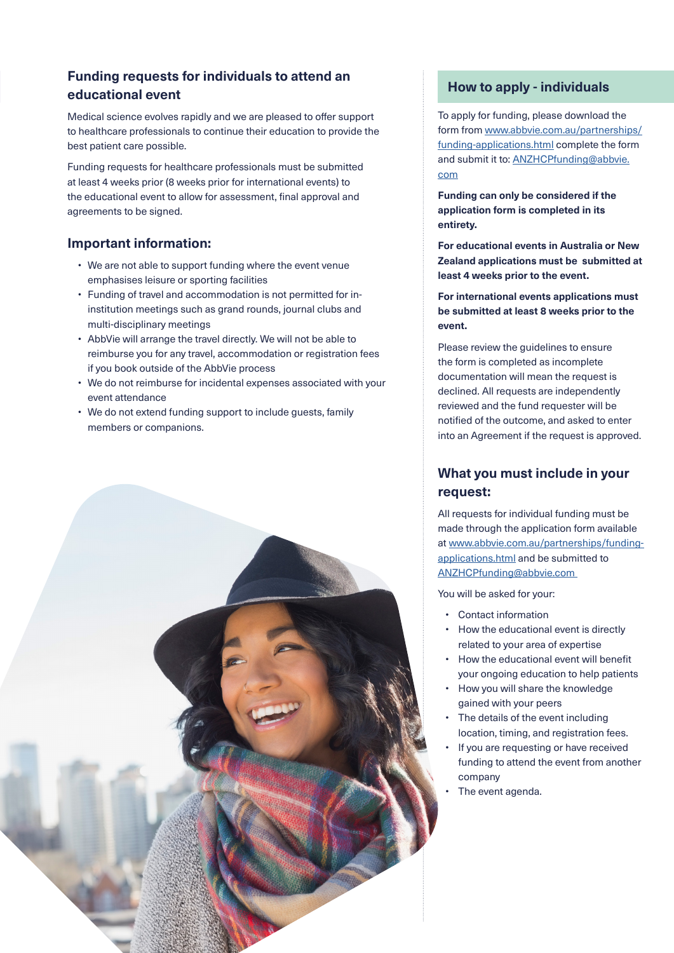### **Funding requests for individuals to attend an educational event**

Medical science evolves rapidly and we are pleased to offer support to healthcare professionals to continue their education to provide the best patient care possible.

Funding requests for healthcare professionals must be submitted at least 4 weeks prior (8 weeks prior for international events) to the educational event to allow for assessment, final approval and agreements to be signed.

#### **Important information:**

- We are not able to support funding where the event venue emphasises leisure or sporting facilities
- Funding of travel and accommodation is not permitted for ininstitution meetings such as grand rounds, journal clubs and multi-disciplinary meetings
- AbbVie will arrange the travel directly. We will not be able to reimburse you for any travel, accommodation or registration fees if you book outside of the AbbVie process
- We do not reimburse for incidental expenses associated with your event attendance
- We do not extend funding support to include guests, family members or companions.



#### **How to apply - individuals**

To apply for funding, please download the form from [www.abbvie.com.au/partnerships/](https://www.abbvie.com.au/partnerships/funding-applications.html?trackingSelection=Yes) [funding-applications.html](https://www.abbvie.com.au/partnerships/funding-applications.html?trackingSelection=Yes) complete the form and submit it to: [ANZHCPfunding@abbvie.](mailto:ANZHCPfunding%40abbvie.com?subject=) [com](mailto:ANZHCPfunding%40abbvie.com?subject=)

**Funding can only be considered if the application form is completed in its entirety.**

**For educational events in Australia or New Zealand applications must be submitted at least 4 weeks prior to the event.** 

**For international events applications must be submitted at least 8 weeks prior to the event.**

Please review the guidelines to ensure the form is completed as incomplete documentation will mean the request is declined. All requests are independently reviewed and the fund requester will be notified of the outcome, and asked to enter into an Agreement if the request is approved.

#### **What you must include in your request:**

All requests for individual funding must be made through the application form available at [www.abbvie.com.au/partnerships/funding](https://www.abbvie.com.au/partnerships/funding-applications.html?trackingSelection=Yes)[applications.html](https://www.abbvie.com.au/partnerships/funding-applications.html?trackingSelection=Yes) and be submitted to [ANZHCPfunding@abbvie.com](mailto:ANZHCPfunding%40abbvie.com%20?subject=) 

You will be asked for your:

- Contact information
- How the educational event is directly related to your area of expertise
- How the educational event will benefit your ongoing education to help patients
- How you will share the knowledge gained with your peers
- The details of the event including location, timing, and registration fees.
- If you are requesting or have received funding to attend the event from another company
- The event agenda.